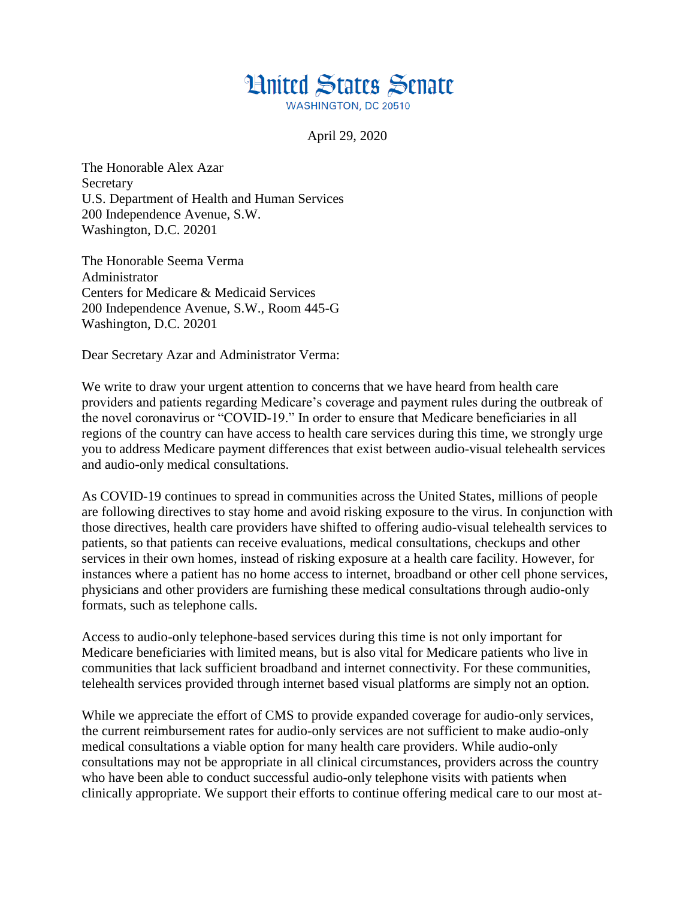## **Hnited States Senate**

**WASHINGTON, DC 20510** 

April 29, 2020

The Honorable Alex Azar **Secretary** U.S. Department of Health and Human Services 200 Independence Avenue, S.W. Washington, D.C. 20201

The Honorable Seema Verma Administrator Centers for Medicare & Medicaid Services 200 Independence Avenue, S.W., Room 445-G Washington, D.C. 20201

Dear Secretary Azar and Administrator Verma:

We write to draw your urgent attention to concerns that we have heard from health care providers and patients regarding Medicare's coverage and payment rules during the outbreak of the novel coronavirus or "COVID-19." In order to ensure that Medicare beneficiaries in all regions of the country can have access to health care services during this time, we strongly urge you to address Medicare payment differences that exist between audio-visual telehealth services and audio-only medical consultations.

As COVID-19 continues to spread in communities across the United States, millions of people are following directives to stay home and avoid risking exposure to the virus. In conjunction with those directives, health care providers have shifted to offering audio-visual telehealth services to patients, so that patients can receive evaluations, medical consultations, checkups and other services in their own homes, instead of risking exposure at a health care facility. However, for instances where a patient has no home access to internet, broadband or other cell phone services, physicians and other providers are furnishing these medical consultations through audio-only formats, such as telephone calls.

Access to audio-only telephone-based services during this time is not only important for Medicare beneficiaries with limited means, but is also vital for Medicare patients who live in communities that lack sufficient broadband and internet connectivity. For these communities, telehealth services provided through internet based visual platforms are simply not an option.

While we appreciate the effort of CMS to provide expanded coverage for audio-only services, the current reimbursement rates for audio-only services are not sufficient to make audio-only medical consultations a viable option for many health care providers. While audio-only consultations may not be appropriate in all clinical circumstances, providers across the country who have been able to conduct successful audio-only telephone visits with patients when clinically appropriate. We support their efforts to continue offering medical care to our most at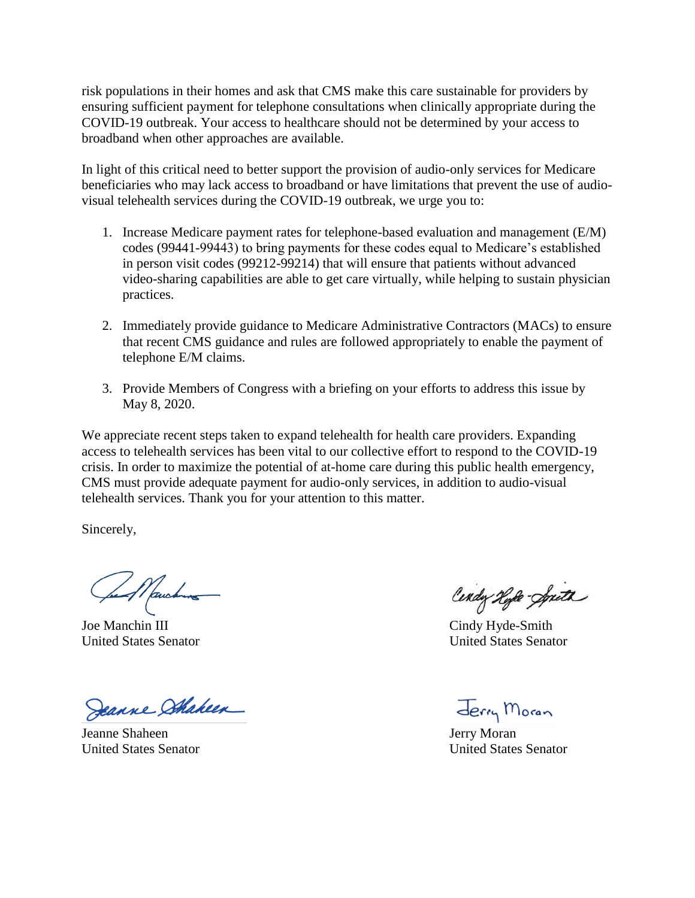risk populations in their homes and ask that CMS make this care sustainable for providers by ensuring sufficient payment for telephone consultations when clinically appropriate during the COVID-19 outbreak. Your access to healthcare should not be determined by your access to broadband when other approaches are available.

In light of this critical need to better support the provision of audio-only services for Medicare beneficiaries who may lack access to broadband or have limitations that prevent the use of audiovisual telehealth services during the COVID-19 outbreak, we urge you to:

- 1. Increase Medicare payment rates for telephone-based evaluation and management (E/M) codes (99441-99443) to bring payments for these codes equal to Medicare's established in person visit codes (99212-99214) that will ensure that patients without advanced video-sharing capabilities are able to get care virtually, while helping to sustain physician practices.
- 2. Immediately provide guidance to Medicare Administrative Contractors (MACs) to ensure that recent CMS guidance and rules are followed appropriately to enable the payment of telephone E/M claims.
- 3. Provide Members of Congress with a briefing on your efforts to address this issue by May 8, 2020.

We appreciate recent steps taken to expand telehealth for health care providers. Expanding access to telehealth services has been vital to our collective effort to respond to the COVID-19 crisis. In order to maximize the potential of at-home care during this public health emergency, CMS must provide adequate payment for audio-only services, in addition to audio-visual telehealth services. Thank you for your attention to this matter.

Sincerely,

feel Mauchung

Joe Manchin III Cindy Hyde-Smith

Deanne Shaheen

Jeanne Shaheen Jerry Moran

Cindy Hyle-Spith

United States Senator United States Senator

Jerry Moran

United States Senator United States Senator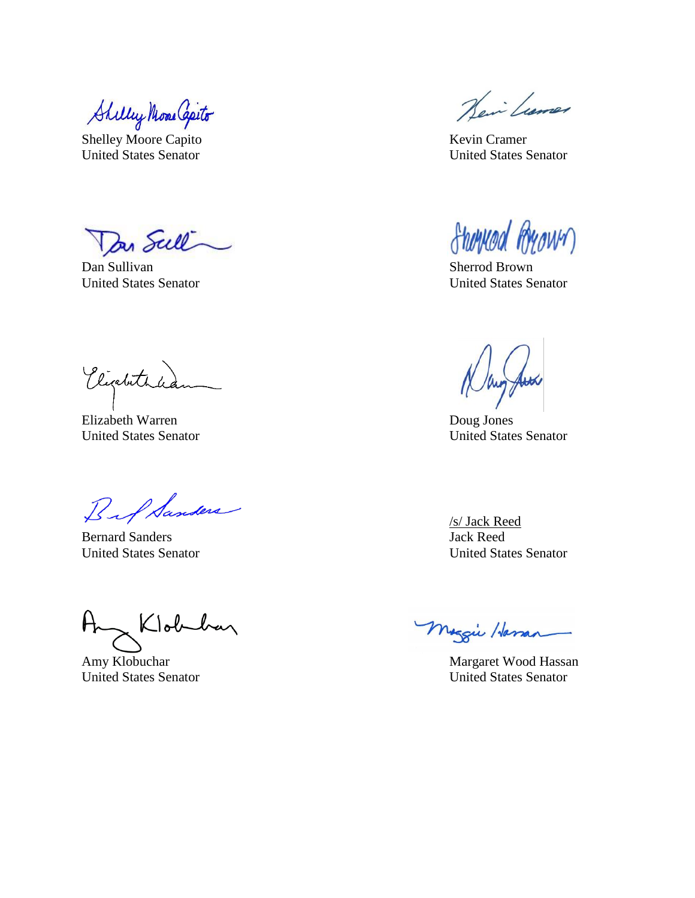Shilley Mone Capito

Shelley Moore Capito Kevin Cramer United States Senator United States Senator

Dan Sull  $\overline{\phantom{0}}$ 

Dan Sullivan Sherrod Brown Sherrod Brown United States Senator United States Senator

Victura

Elizabeth Warren Doug Jones

Bif Sanders

Bernard Sanders Jack Reed

Any Klobekan

Hein Lumer

Sherwood Ryown

United States Senator United States Senator

/s/ Jack Reed United States Senator United States Senator

Maggie Harran

Amy Klobuchar Margaret Wood Hassan United States Senator United States Senator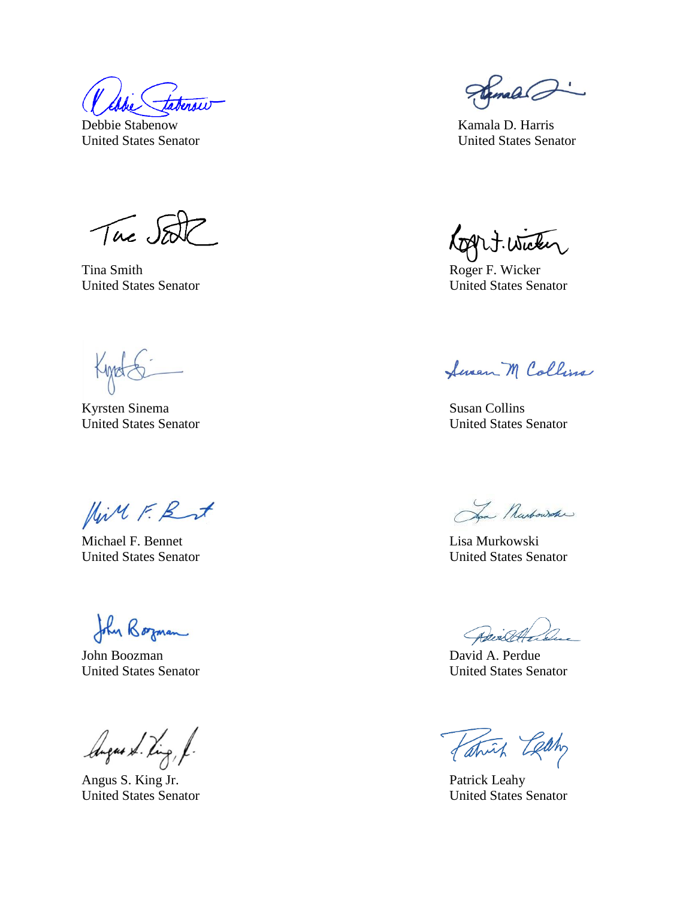Debbie Stabenow Kamala D. Harris

Tue Set

Tina Smith Roger F. Wicker United States Senator United States Senator

Kyrsten Sinema Susan Collins

Hill F. But

Michael F. Bennet **Lisa Murkowski** United States Senator United States Senator

John Borman

John Boozman David A. Perdue

lingues & Ving, f.

Angus S. King Jr. Patrick Leahy

Franald @

United States Senator United States Senator

Rogert. Wicker

Sevan M Collins

United States Senator United States Senator

Jan Nurbowske

Advisede

United States Senator United States Senator

Patrick Letty

United States Senator United States Senator